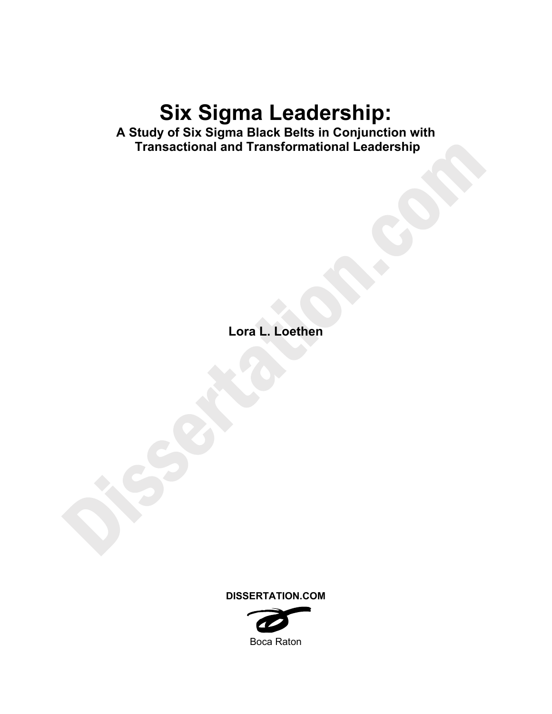# **Six Sigma Leadership:**

**A Study of Six Sigma Black Belts in Conjunction with Transactional and Transformational Leadership** 

**Lora L. Loethen** 

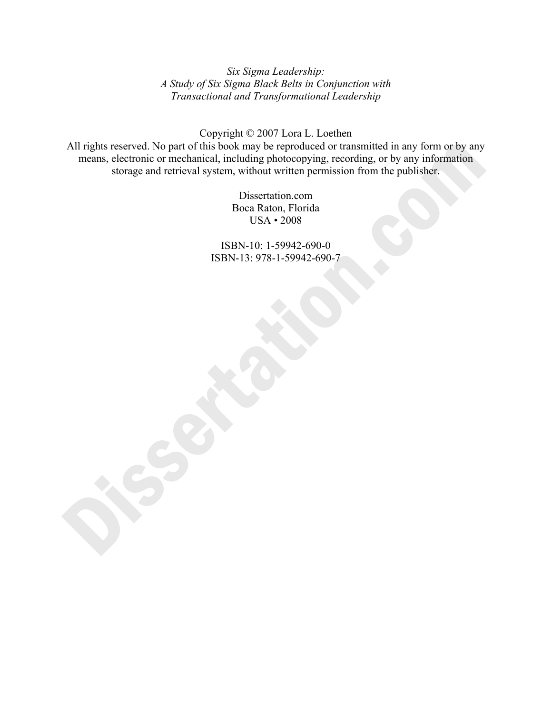*Six Sigma Leadership: A Study of Six Sigma Black Belts in Conjunction with Transactional and Transformational Leadership* 

Copyright © 2007 Lora L. Loethen

All rights reserved. No part of this book may be reproduced or transmitted in any form or by any means, electronic or mechanical, including photocopying, recording, or by any information storage and retrieval system, without written permission from the publisher.

> Dissertation.com Boca Raton, Florida USA • 2008

ISBN-10: 1-59942-690-0 ISBN-13: 978-1-59942-690-7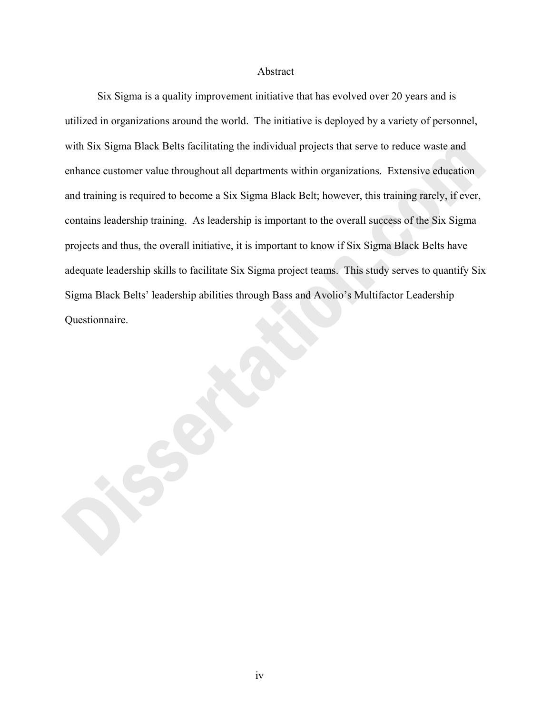## Abstract

 Six Sigma is a quality improvement initiative that has evolved over 20 years and is utilized in organizations around the world. The initiative is deployed by a variety of personnel, with Six Sigma Black Belts facilitating the individual projects that serve to reduce waste and enhance customer value throughout all departments within organizations. Extensive education and training is required to become a Six Sigma Black Belt; however, this training rarely, if ever, contains leadership training. As leadership is important to the overall success of the Six Sigma projects and thus, the overall initiative, it is important to know if Six Sigma Black Belts have adequate leadership skills to facilitate Six Sigma project teams. This study serves to quantify Six Sigma Black Belts' leadership abilities through Bass and Avolio's Multifactor Leadership Questionnaire.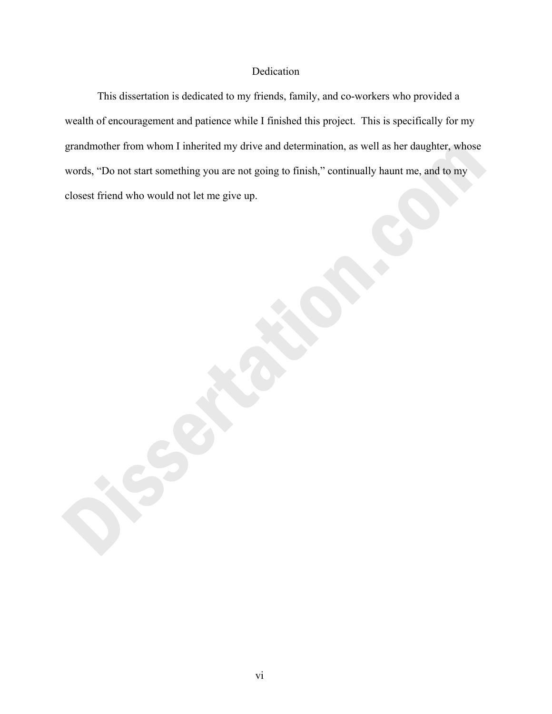# Dedication

 This dissertation is dedicated to my friends, family, and co-workers who provided a wealth of encouragement and patience while I finished this project. This is specifically for my grandmother from whom I inherited my drive and determination, as well as her daughter, whose words, "Do not start something you are not going to finish," continually haunt me, and to my closest friend who would not let me give up.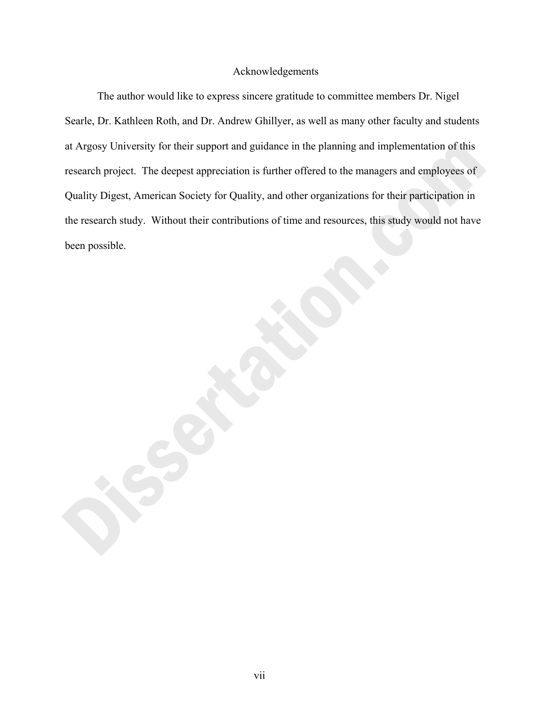# Acknowledgements

 The author would like to express sincere gratitude to committee members Dr. Nigel Searle, Dr. Kathleen Roth, and Dr. Andrew Ghillyer, as well as many other faculty and students at Argosy University for their support and guidance in the planning and implementation of this research project. The deepest appreciation is further offered to the managers and employees of Quality Digest, American Society for Quality, and other organizations for their participation in the research study. Without their contributions of time and resources, this study would not have been possible.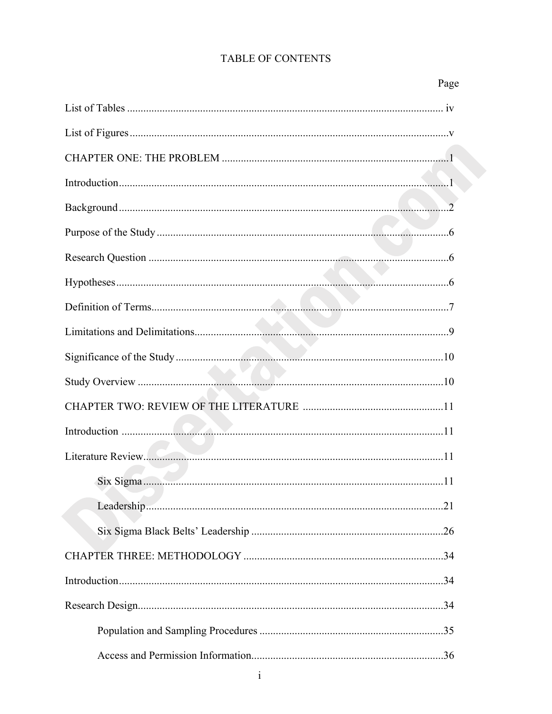| Page |
|------|
|      |
|      |
|      |
|      |
|      |
|      |
|      |
|      |
|      |
|      |
|      |
|      |
|      |
|      |
|      |
| .11  |
|      |
|      |
|      |
|      |
|      |
|      |
|      |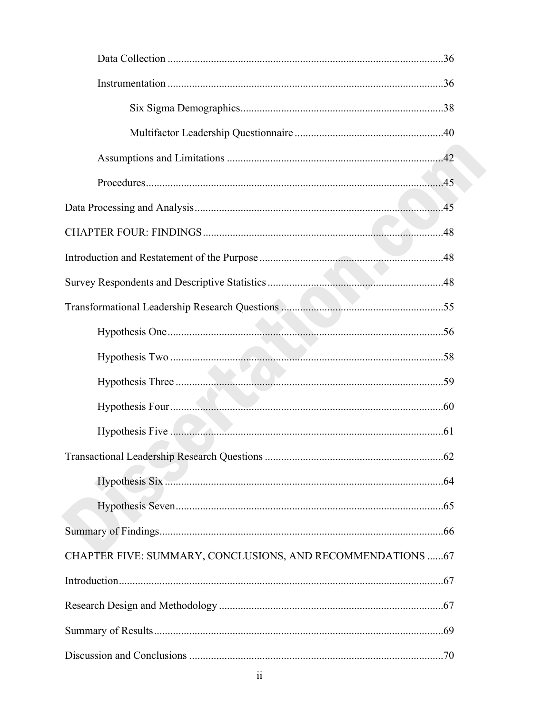| CHAPTER FIVE: SUMMARY, CONCLUSIONS, AND RECOMMENDATIONS  67 |  |
|-------------------------------------------------------------|--|
|                                                             |  |
|                                                             |  |
|                                                             |  |
|                                                             |  |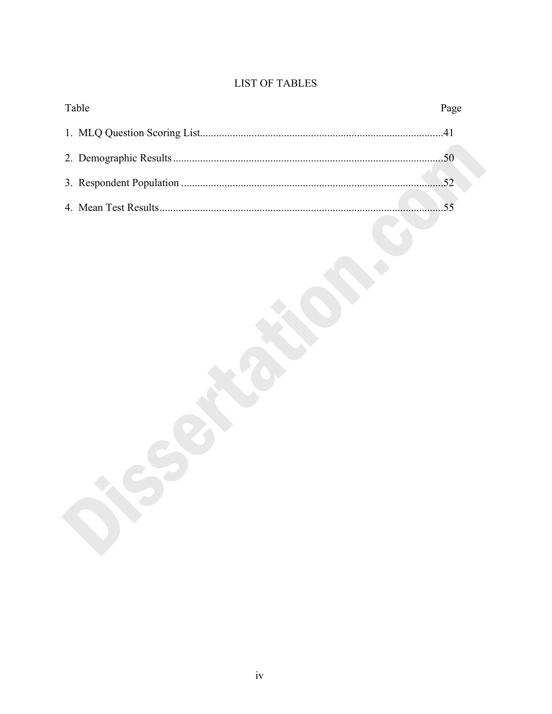# **LIST OF TABLES**

| Table | Page |
|-------|------|
|       |      |
|       |      |
|       |      |
|       |      |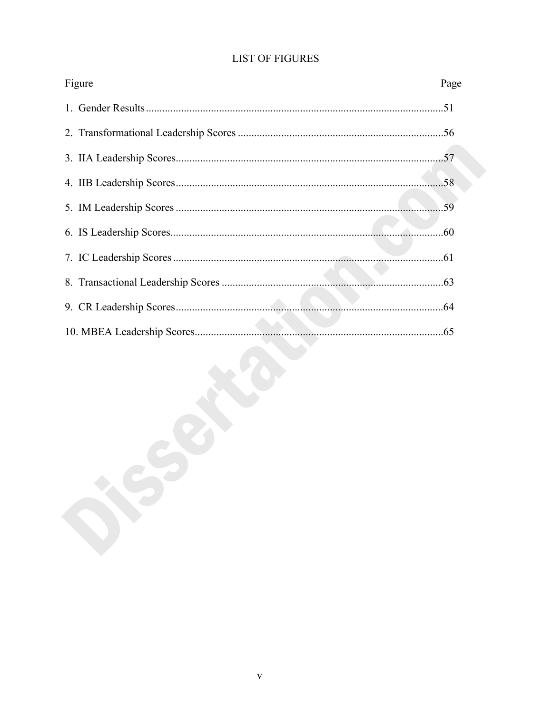| Figure | Page |
|--------|------|
|        |      |
|        |      |
|        |      |
|        |      |
|        |      |
|        |      |
|        |      |
|        |      |
|        |      |
|        |      |

# **LIST OF FIGURES**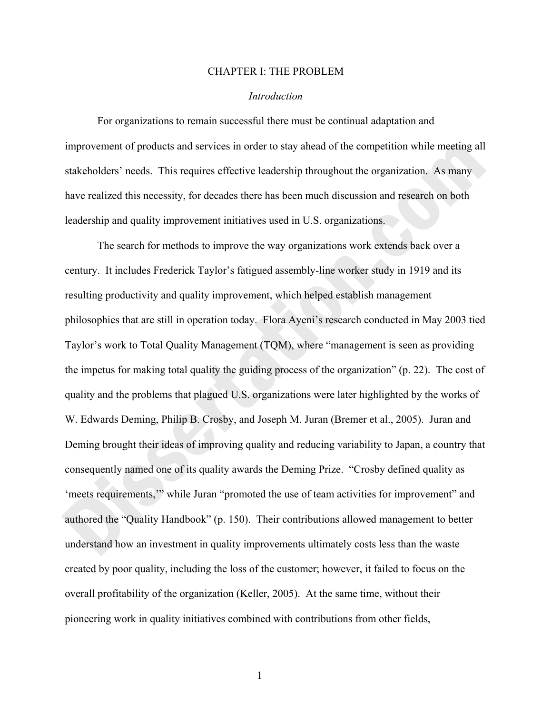#### CHAPTER I: THE PROBLEM

#### *Introduction*

 For organizations to remain successful there must be continual adaptation and improvement of products and services in order to stay ahead of the competition while meeting all stakeholders' needs. This requires effective leadership throughout the organization. As many have realized this necessity, for decades there has been much discussion and research on both leadership and quality improvement initiatives used in U.S. organizations.

The search for methods to improve the way organizations work extends back over a century. It includes Frederick Taylor's fatigued assembly-line worker study in 1919 and its resulting productivity and quality improvement, which helped establish management philosophies that are still in operation today. Flora Ayeni's research conducted in May 2003 tied Taylor's work to Total Quality Management (TQM), where "management is seen as providing the impetus for making total quality the guiding process of the organization" (p. 22). The cost of quality and the problems that plagued U.S. organizations were later highlighted by the works of W. Edwards Deming, Philip B. Crosby, and Joseph M. Juran (Bremer et al., 2005). Juran and Deming brought their ideas of improving quality and reducing variability to Japan, a country that consequently named one of its quality awards the Deming Prize. "Crosby defined quality as 'meets requirements,'" while Juran "promoted the use of team activities for improvement" and authored the "Quality Handbook" (p. 150). Their contributions allowed management to better understand how an investment in quality improvements ultimately costs less than the waste created by poor quality, including the loss of the customer; however, it failed to focus on the overall profitability of the organization (Keller, 2005). At the same time, without their pioneering work in quality initiatives combined with contributions from other fields,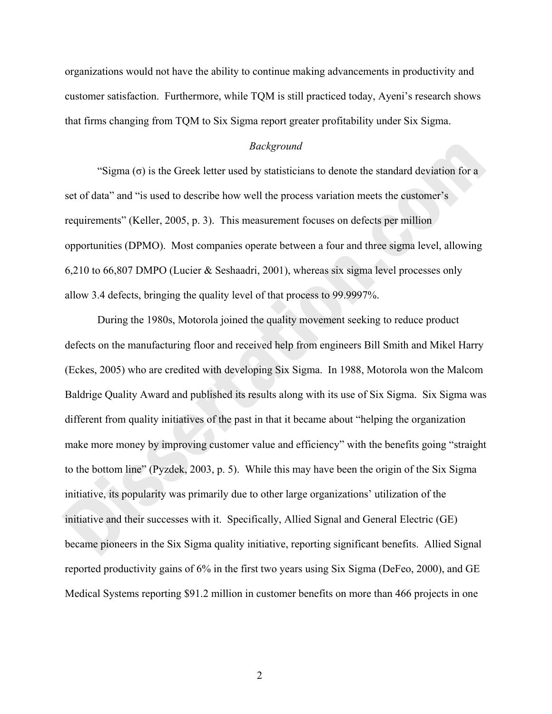organizations would not have the ability to continue making advancements in productivity and customer satisfaction. Furthermore, while TQM is still practiced today, Ayeni's research shows that firms changing from TQM to Six Sigma report greater profitability under Six Sigma.

#### *Background*

"Sigma  $(\sigma)$  is the Greek letter used by statisticians to denote the standard deviation for a set of data" and "is used to describe how well the process variation meets the customer's requirements" (Keller, 2005, p. 3). This measurement focuses on defects per million opportunities (DPMO). Most companies operate between a four and three sigma level, allowing 6,210 to 66,807 DMPO (Lucier & Seshaadri, 2001), whereas six sigma level processes only allow 3.4 defects, bringing the quality level of that process to 99.9997%.

 During the 1980s, Motorola joined the quality movement seeking to reduce product defects on the manufacturing floor and received help from engineers Bill Smith and Mikel Harry (Eckes, 2005) who are credited with developing Six Sigma. In 1988, Motorola won the Malcom Baldrige Quality Award and published its results along with its use of Six Sigma. Six Sigma was different from quality initiatives of the past in that it became about "helping the organization make more money by improving customer value and efficiency" with the benefits going "straight to the bottom line" (Pyzdek, 2003, p. 5). While this may have been the origin of the Six Sigma initiative, its popularity was primarily due to other large organizations' utilization of the initiative and their successes with it. Specifically, Allied Signal and General Electric (GE) became pioneers in the Six Sigma quality initiative, reporting significant benefits. Allied Signal reported productivity gains of 6% in the first two years using Six Sigma (DeFeo, 2000), and GE Medical Systems reporting \$91.2 million in customer benefits on more than 466 projects in one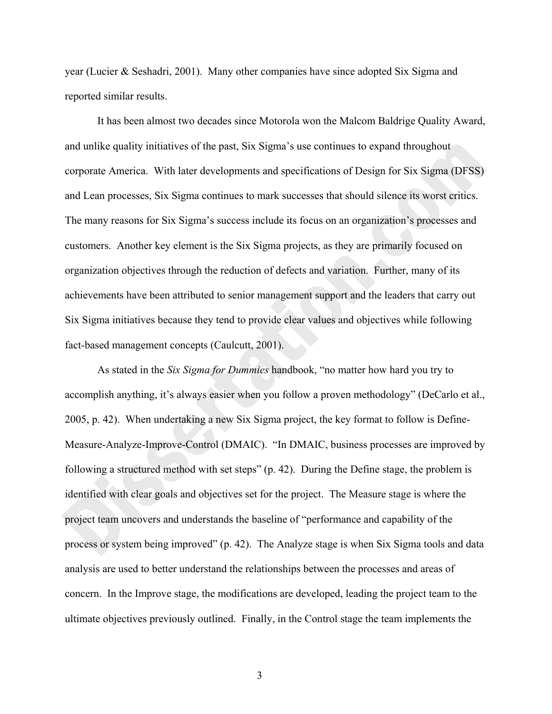year (Lucier & Seshadri, 2001). Many other companies have since adopted Six Sigma and reported similar results.

 It has been almost two decades since Motorola won the Malcom Baldrige Quality Award, and unlike quality initiatives of the past, Six Sigma's use continues to expand throughout corporate America. With later developments and specifications of Design for Six Sigma (DFSS) and Lean processes, Six Sigma continues to mark successes that should silence its worst critics. The many reasons for Six Sigma's success include its focus on an organization's processes and customers. Another key element is the Six Sigma projects, as they are primarily focused on organization objectives through the reduction of defects and variation. Further, many of its achievements have been attributed to senior management support and the leaders that carry out Six Sigma initiatives because they tend to provide clear values and objectives while following fact-based management concepts (Caulcutt, 2001).

 As stated in the *Six Sigma for Dummies* handbook, "no matter how hard you try to accomplish anything, it's always easier when you follow a proven methodology" (DeCarlo et al., 2005, p. 42). When undertaking a new Six Sigma project, the key format to follow is Define-Measure-Analyze-Improve-Control (DMAIC). "In DMAIC, business processes are improved by following a structured method with set steps" (p. 42). During the Define stage, the problem is identified with clear goals and objectives set for the project. The Measure stage is where the project team uncovers and understands the baseline of "performance and capability of the process or system being improved" (p. 42). The Analyze stage is when Six Sigma tools and data analysis are used to better understand the relationships between the processes and areas of concern. In the Improve stage, the modifications are developed, leading the project team to the ultimate objectives previously outlined. Finally, in the Control stage the team implements the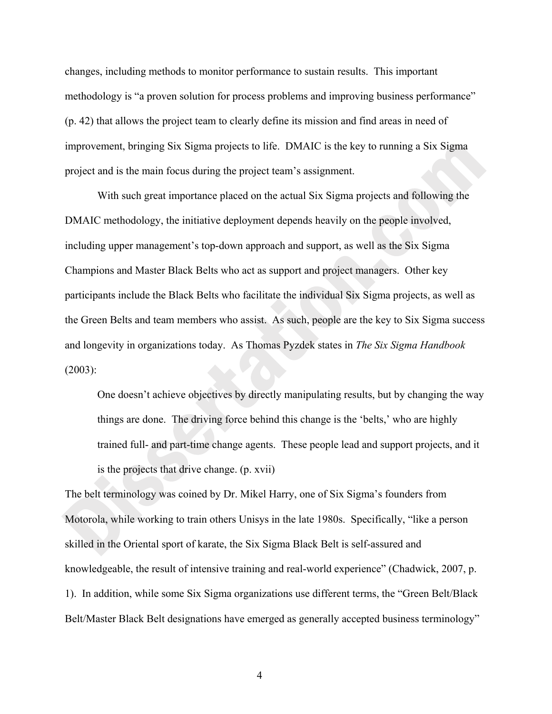changes, including methods to monitor performance to sustain results. This important methodology is "a proven solution for process problems and improving business performance" (p. 42) that allows the project team to clearly define its mission and find areas in need of improvement, bringing Six Sigma projects to life. DMAIC is the key to running a Six Sigma project and is the main focus during the project team's assignment.

With such great importance placed on the actual Six Sigma projects and following the DMAIC methodology, the initiative deployment depends heavily on the people involved, including upper management's top-down approach and support, as well as the Six Sigma Champions and Master Black Belts who act as support and project managers. Other key participants include the Black Belts who facilitate the individual Six Sigma projects, as well as the Green Belts and team members who assist. As such, people are the key to Six Sigma success and longevity in organizations today. As Thomas Pyzdek states in *The Six Sigma Handbook* (2003):

One doesn't achieve objectives by directly manipulating results, but by changing the way things are done. The driving force behind this change is the 'belts,' who are highly trained full- and part-time change agents. These people lead and support projects, and it is the projects that drive change. (p. xvii)

The belt terminology was coined by Dr. Mikel Harry, one of Six Sigma's founders from Motorola, while working to train others Unisys in the late 1980s. Specifically, "like a person skilled in the Oriental sport of karate, the Six Sigma Black Belt is self-assured and knowledgeable, the result of intensive training and real-world experience" (Chadwick, 2007, p. 1). In addition, while some Six Sigma organizations use different terms, the "Green Belt/Black Belt/Master Black Belt designations have emerged as generally accepted business terminology"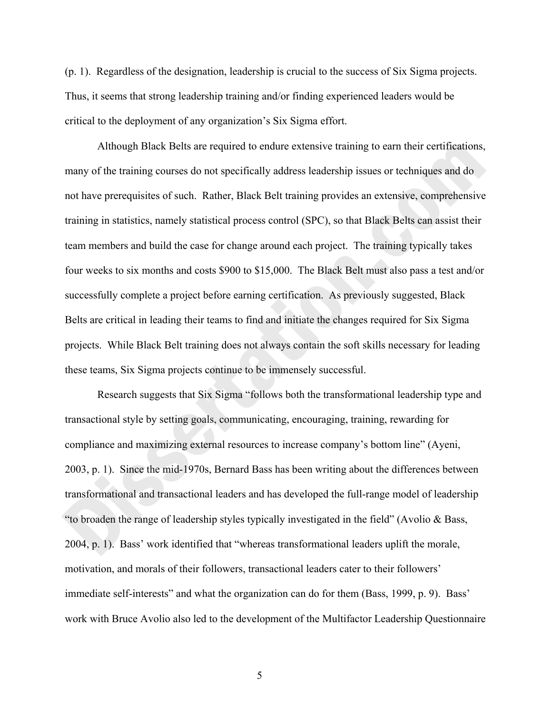(p. 1). Regardless of the designation, leadership is crucial to the success of Six Sigma projects. Thus, it seems that strong leadership training and/or finding experienced leaders would be critical to the deployment of any organization's Six Sigma effort.

Although Black Belts are required to endure extensive training to earn their certifications, many of the training courses do not specifically address leadership issues or techniques and do not have prerequisites of such. Rather, Black Belt training provides an extensive, comprehensive training in statistics, namely statistical process control (SPC), so that Black Belts can assist their team members and build the case for change around each project. The training typically takes four weeks to six months and costs \$900 to \$15,000. The Black Belt must also pass a test and/or successfully complete a project before earning certification. As previously suggested, Black Belts are critical in leading their teams to find and initiate the changes required for Six Sigma projects. While Black Belt training does not always contain the soft skills necessary for leading these teams, Six Sigma projects continue to be immensely successful.

Research suggests that Six Sigma "follows both the transformational leadership type and transactional style by setting goals, communicating, encouraging, training, rewarding for compliance and maximizing external resources to increase company's bottom line" (Ayeni, 2003, p. 1). Since the mid-1970s, Bernard Bass has been writing about the differences between transformational and transactional leaders and has developed the full-range model of leadership "to broaden the range of leadership styles typically investigated in the field" (Avolio & Bass, 2004, p. 1). Bass' work identified that "whereas transformational leaders uplift the morale, motivation, and morals of their followers, transactional leaders cater to their followers' immediate self-interests" and what the organization can do for them (Bass, 1999, p. 9). Bass' work with Bruce Avolio also led to the development of the Multifactor Leadership Questionnaire

 $\overline{5}$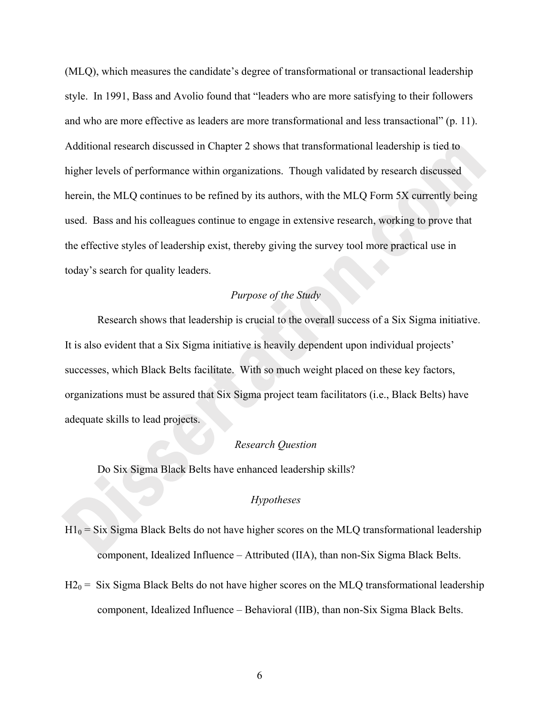(MLQ), which measures the candidate's degree of transformational or transactional leadership style. In 1991, Bass and Avolio found that "leaders who are more satisfying to their followers and who are more effective as leaders are more transformational and less transactional" (p. 11). Additional research discussed in Chapter 2 shows that transformational leadership is tied to higher levels of performance within organizations. Though validated by research discussed herein, the MLQ continues to be refined by its authors, with the MLQ Form 5X currently being used. Bass and his colleagues continue to engage in extensive research, working to prove that the effective styles of leadership exist, thereby giving the survey tool more practical use in today's search for quality leaders.

## *Purpose of the Study*

 Research shows that leadership is crucial to the overall success of a Six Sigma initiative. It is also evident that a Six Sigma initiative is heavily dependent upon individual projects' successes, which Black Belts facilitate. With so much weight placed on these key factors, organizations must be assured that Six Sigma project team facilitators (i.e., Black Belts) have adequate skills to lead projects.

#### *Research Question*

Do Six Sigma Black Belts have enhanced leadership skills?

## *Hypotheses*

- $H1_0$  = Six Sigma Black Belts do not have higher scores on the MLQ transformational leadership component, Idealized Influence – Attributed (IIA), than non-Six Sigma Black Belts.
- $H2_0$  = Six Sigma Black Belts do not have higher scores on the MLQ transformational leadership component, Idealized Influence – Behavioral (IIB), than non-Six Sigma Black Belts.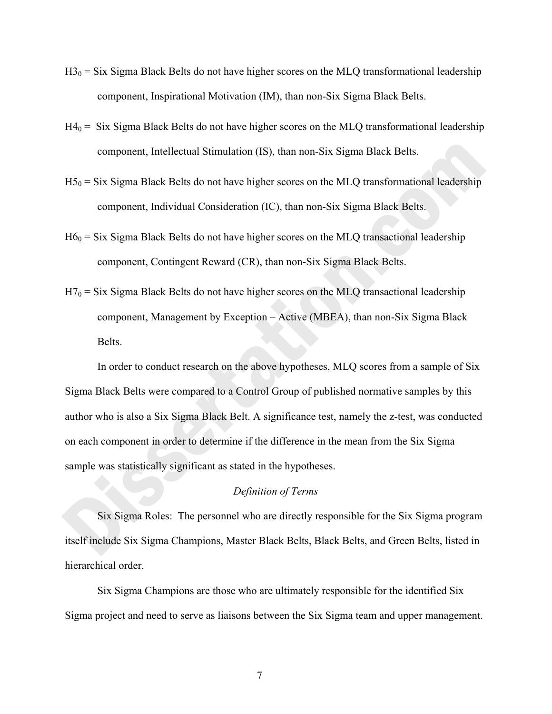- $H3_0 = Six$  Sigma Black Belts do not have higher scores on the MLQ transformational leadership component, Inspirational Motivation (IM), than non-Six Sigma Black Belts.
- $H4<sub>0</sub> = Six Sigma Black Belts do not have higher scores on the MLQ transformational leadership$ component, Intellectual Stimulation (IS), than non-Six Sigma Black Belts.
- $H5<sub>0</sub> = Six Sigma Black Belts do not have higher scores on the MLQ transformational leadership$ component, Individual Consideration (IC), than non-Six Sigma Black Belts.
- $H6<sub>0</sub> = Six Sigma Black Belts do not have higher scores on the MLQ transactional leadership$ component, Contingent Reward (CR), than non-Six Sigma Black Belts.
- $H7_0$  = Six Sigma Black Belts do not have higher scores on the MLQ transactional leadership component, Management by Exception – Active (MBEA), than non-Six Sigma Black Belts.

In order to conduct research on the above hypotheses, MLQ scores from a sample of Six Sigma Black Belts were compared to a Control Group of published normative samples by this author who is also a Six Sigma Black Belt. A significance test, namely the z-test, was conducted on each component in order to determine if the difference in the mean from the Six Sigma sample was statistically significant as stated in the hypotheses.

# *Definition of Terms*

Six Sigma Roles: The personnel who are directly responsible for the Six Sigma program itself include Six Sigma Champions, Master Black Belts, Black Belts, and Green Belts, listed in hierarchical order.

Six Sigma Champions are those who are ultimately responsible for the identified Six Sigma project and need to serve as liaisons between the Six Sigma team and upper management.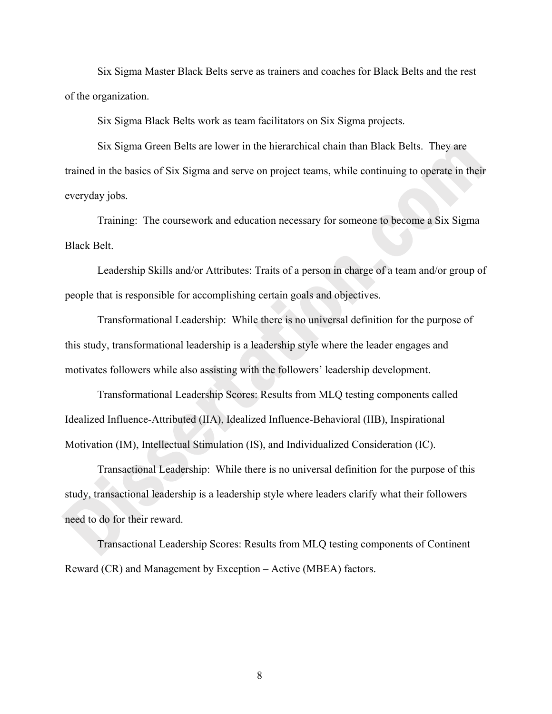Six Sigma Master Black Belts serve as trainers and coaches for Black Belts and the rest of the organization.

Six Sigma Black Belts work as team facilitators on Six Sigma projects.

Six Sigma Green Belts are lower in the hierarchical chain than Black Belts. They are trained in the basics of Six Sigma and serve on project teams, while continuing to operate in their everyday jobs.

Training: The coursework and education necessary for someone to become a Six Sigma Black Belt.

Leadership Skills and/or Attributes: Traits of a person in charge of a team and/or group of people that is responsible for accomplishing certain goals and objectives.

Transformational Leadership: While there is no universal definition for the purpose of this study, transformational leadership is a leadership style where the leader engages and motivates followers while also assisting with the followers' leadership development.

Transformational Leadership Scores: Results from MLQ testing components called Idealized Influence-Attributed (IIA), Idealized Influence-Behavioral (IIB), Inspirational Motivation (IM), Intellectual Stimulation (IS), and Individualized Consideration (IC).

Transactional Leadership: While there is no universal definition for the purpose of this study, transactional leadership is a leadership style where leaders clarify what their followers need to do for their reward.

Transactional Leadership Scores: Results from MLQ testing components of Continent Reward (CR) and Management by Exception – Active (MBEA) factors.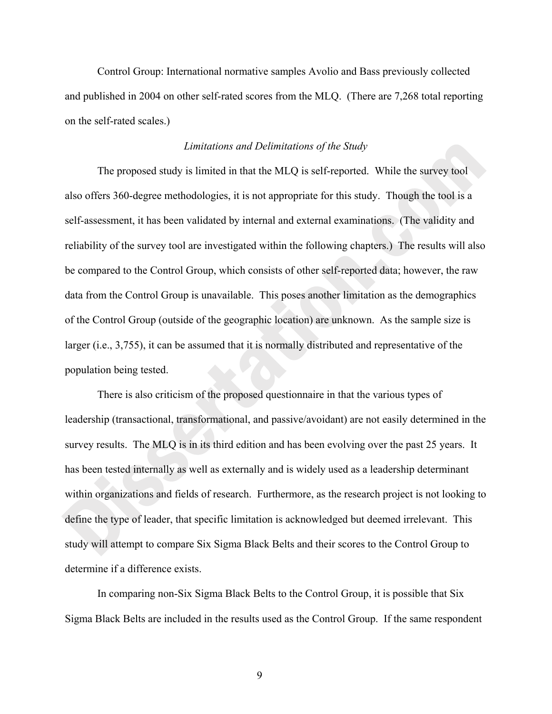Control Group: International normative samples Avolio and Bass previously collected and published in 2004 on other self-rated scores from the MLQ. (There are 7,268 total reporting on the self-rated scales.)

# *Limitations and Delimitations of the Study*

The proposed study is limited in that the MLQ is self-reported. While the survey tool also offers 360-degree methodologies, it is not appropriate for this study. Though the tool is a self-assessment, it has been validated by internal and external examinations. (The validity and reliability of the survey tool are investigated within the following chapters.) The results will also be compared to the Control Group, which consists of other self-reported data; however, the raw data from the Control Group is unavailable. This poses another limitation as the demographics of the Control Group (outside of the geographic location) are unknown. As the sample size is larger (i.e., 3,755), it can be assumed that it is normally distributed and representative of the population being tested.

There is also criticism of the proposed questionnaire in that the various types of leadership (transactional, transformational, and passive/avoidant) are not easily determined in the survey results. The MLQ is in its third edition and has been evolving over the past 25 years. It has been tested internally as well as externally and is widely used as a leadership determinant within organizations and fields of research. Furthermore, as the research project is not looking to define the type of leader, that specific limitation is acknowledged but deemed irrelevant. This study will attempt to compare Six Sigma Black Belts and their scores to the Control Group to determine if a difference exists.

In comparing non-Six Sigma Black Belts to the Control Group, it is possible that Six Sigma Black Belts are included in the results used as the Control Group. If the same respondent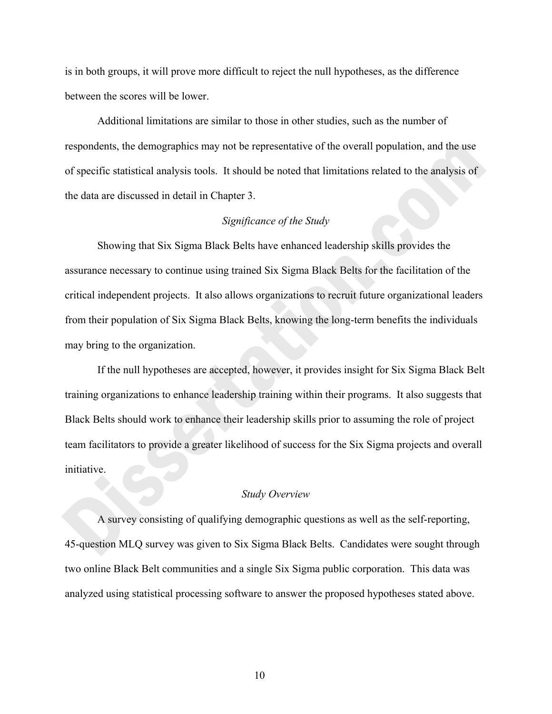is in both groups, it will prove more difficult to reject the null hypotheses, as the difference between the scores will be lower.

Additional limitations are similar to those in other studies, such as the number of respondents, the demographics may not be representative of the overall population, and the use of specific statistical analysis tools. It should be noted that limitations related to the analysis of the data are discussed in detail in Chapter 3.

## *Significance of the Study*

Showing that Six Sigma Black Belts have enhanced leadership skills provides the assurance necessary to continue using trained Six Sigma Black Belts for the facilitation of the critical independent projects. It also allows organizations to recruit future organizational leaders from their population of Six Sigma Black Belts, knowing the long-term benefits the individuals may bring to the organization.

If the null hypotheses are accepted, however, it provides insight for Six Sigma Black Belt training organizations to enhance leadership training within their programs. It also suggests that Black Belts should work to enhance their leadership skills prior to assuming the role of project team facilitators to provide a greater likelihood of success for the Six Sigma projects and overall initiative.

#### *Study Overview*

A survey consisting of qualifying demographic questions as well as the self-reporting, 45-question MLQ survey was given to Six Sigma Black Belts. Candidates were sought through two online Black Belt communities and a single Six Sigma public corporation. This data was analyzed using statistical processing software to answer the proposed hypotheses stated above.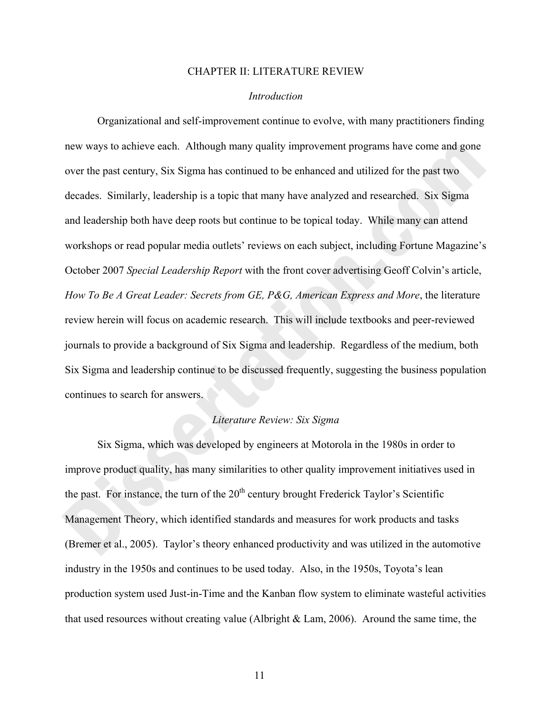#### CHAPTER II: LITERATURE REVIEW

#### *Introduction*

 Organizational and self-improvement continue to evolve, with many practitioners finding new ways to achieve each. Although many quality improvement programs have come and gone over the past century, Six Sigma has continued to be enhanced and utilized for the past two decades. Similarly, leadership is a topic that many have analyzed and researched. Six Sigma and leadership both have deep roots but continue to be topical today. While many can attend workshops or read popular media outlets' reviews on each subject, including Fortune Magazine's October 2007 *Special Leadership Report* with the front cover advertising Geoff Colvin's article, *How To Be A Great Leader: Secrets from GE, P&G, American Express and More*, the literature review herein will focus on academic research. This will include textbooks and peer-reviewed journals to provide a background of Six Sigma and leadership. Regardless of the medium, both Six Sigma and leadership continue to be discussed frequently, suggesting the business population continues to search for answers.

#### *Literature Review: Six Sigma*

Six Sigma, which was developed by engineers at Motorola in the 1980s in order to improve product quality, has many similarities to other quality improvement initiatives used in the past. For instance, the turn of the  $20<sup>th</sup>$  century brought Frederick Taylor's Scientific Management Theory, which identified standards and measures for work products and tasks (Bremer et al., 2005). Taylor's theory enhanced productivity and was utilized in the automotive industry in the 1950s and continues to be used today. Also, in the 1950s, Toyota's lean production system used Just-in-Time and the Kanban flow system to eliminate wasteful activities that used resources without creating value (Albright & Lam, 2006). Around the same time, the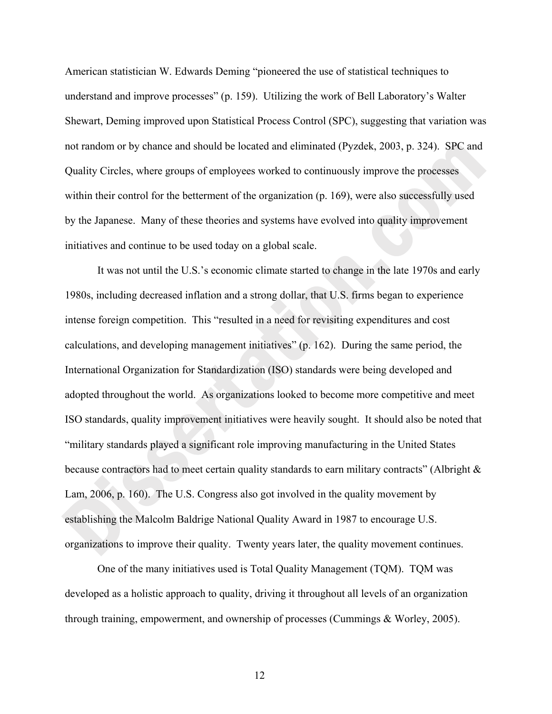American statistician W. Edwards Deming "pioneered the use of statistical techniques to understand and improve processes" (p. 159). Utilizing the work of Bell Laboratory's Walter Shewart, Deming improved upon Statistical Process Control (SPC), suggesting that variation was not random or by chance and should be located and eliminated (Pyzdek, 2003, p. 324). SPC and Quality Circles, where groups of employees worked to continuously improve the processes within their control for the betterment of the organization (p. 169), were also successfully used by the Japanese. Many of these theories and systems have evolved into quality improvement initiatives and continue to be used today on a global scale.

It was not until the U.S.'s economic climate started to change in the late 1970s and early 1980s, including decreased inflation and a strong dollar, that U.S. firms began to experience intense foreign competition. This "resulted in a need for revisiting expenditures and cost calculations, and developing management initiatives" (p. 162). During the same period, the International Organization for Standardization (ISO) standards were being developed and adopted throughout the world. As organizations looked to become more competitive and meet ISO standards, quality improvement initiatives were heavily sought. It should also be noted that "military standards played a significant role improving manufacturing in the United States because contractors had to meet certain quality standards to earn military contracts" (Albright & Lam, 2006, p. 160). The U.S. Congress also got involved in the quality movement by establishing the Malcolm Baldrige National Quality Award in 1987 to encourage U.S. organizations to improve their quality. Twenty years later, the quality movement continues.

One of the many initiatives used is Total Quality Management (TQM). TQM was developed as a holistic approach to quality, driving it throughout all levels of an organization through training, empowerment, and ownership of processes (Cummings & Worley, 2005).